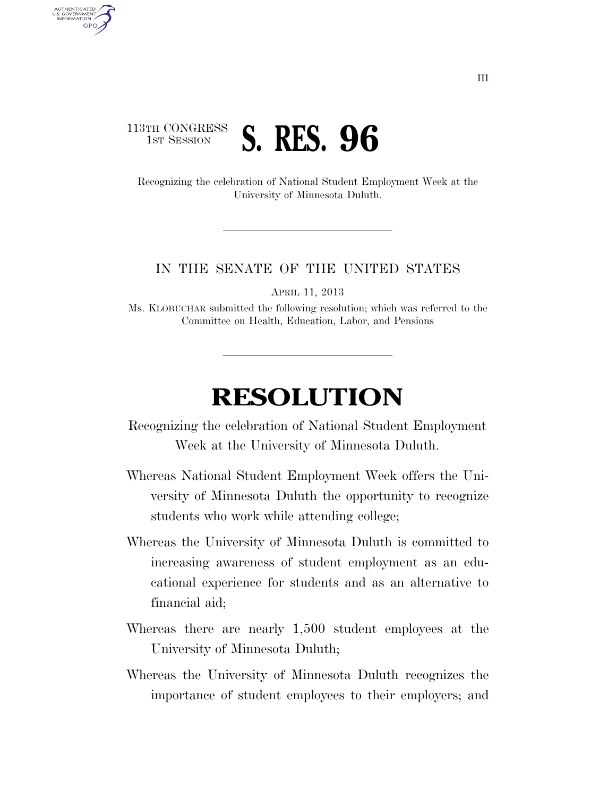## 113TH CONGRESS **1ST SESSION S. RES. 96**

AUTHENTICATED U.S. GOVERNMENT **GPO** 

> Recognizing the celebration of National Student Employment Week at the University of Minnesota Duluth.

## IN THE SENATE OF THE UNITED STATES

APRIL 11, 2013

Ms. KLOBUCHAR submitted the following resolution; which was referred to the Committee on Health, Education, Labor, and Pensions

## **RESOLUTION**

Recognizing the celebration of National Student Employment Week at the University of Minnesota Duluth.

- Whereas National Student Employment Week offers the University of Minnesota Duluth the opportunity to recognize students who work while attending college;
- Whereas the University of Minnesota Duluth is committed to increasing awareness of student employment as an educational experience for students and as an alternative to financial aid;
- Whereas there are nearly 1,500 student employees at the University of Minnesota Duluth;
- Whereas the University of Minnesota Duluth recognizes the importance of student employees to their employers; and